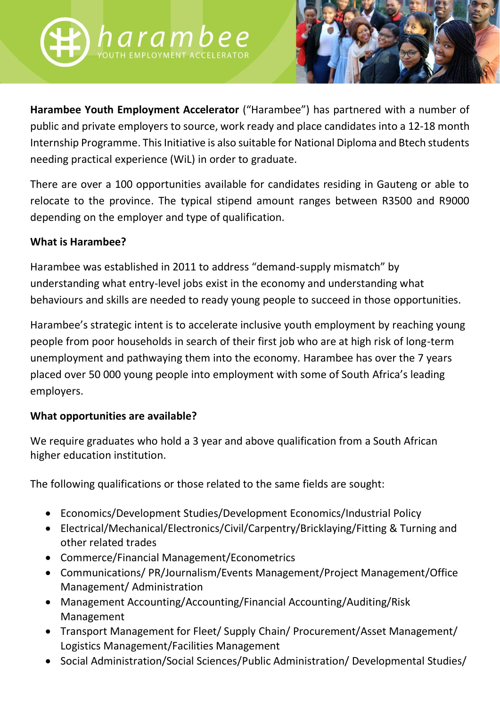



**Harambee Youth Employment Accelerator** ("Harambee") has partnered with a number of public and private employers to source, work ready and place candidates into a 12-18 month Internship Programme. This Initiative is also suitable for National Diploma and Btech students needing practical experience (WiL) in order to graduate.

There are over a 100 opportunities available for candidates residing in Gauteng or able to relocate to the province. The typical stipend amount ranges between R3500 and R9000 depending on the employer and type of qualification.

## **What is Harambee?**

Harambee was established in 2011 to address "demand-supply mismatch" by understanding what entry-level jobs exist in the economy and understanding what behaviours and skills are needed to ready young people to succeed in those opportunities.

Harambee's strategic intent is to accelerate inclusive youth employment by reaching young people from poor households in search of their first job who are at high risk of long-term unemployment and pathwaying them into the economy. Harambee has over the 7 years placed over 50 000 young people into employment with some of South Africa's leading employers.

## **What opportunities are available?**

We require graduates who hold a 3 year and above qualification from a South African higher education institution.

The following qualifications or those related to the same fields are sought:

- Economics/Development Studies/Development Economics/Industrial Policy
- Electrical/Mechanical/Electronics/Civil/Carpentry/Bricklaying/Fitting & Turning and other related trades
- Commerce/Financial Management/Econometrics
- Communications/ PR/Journalism/Events Management/Project Management/Office Management/ Administration
- Management Accounting/Accounting/Financial Accounting/Auditing/Risk Management
- Transport Management for Fleet/ Supply Chain/ Procurement/Asset Management/ Logistics Management/Facilities Management
- Social Administration/Social Sciences/Public Administration/ Developmental Studies/